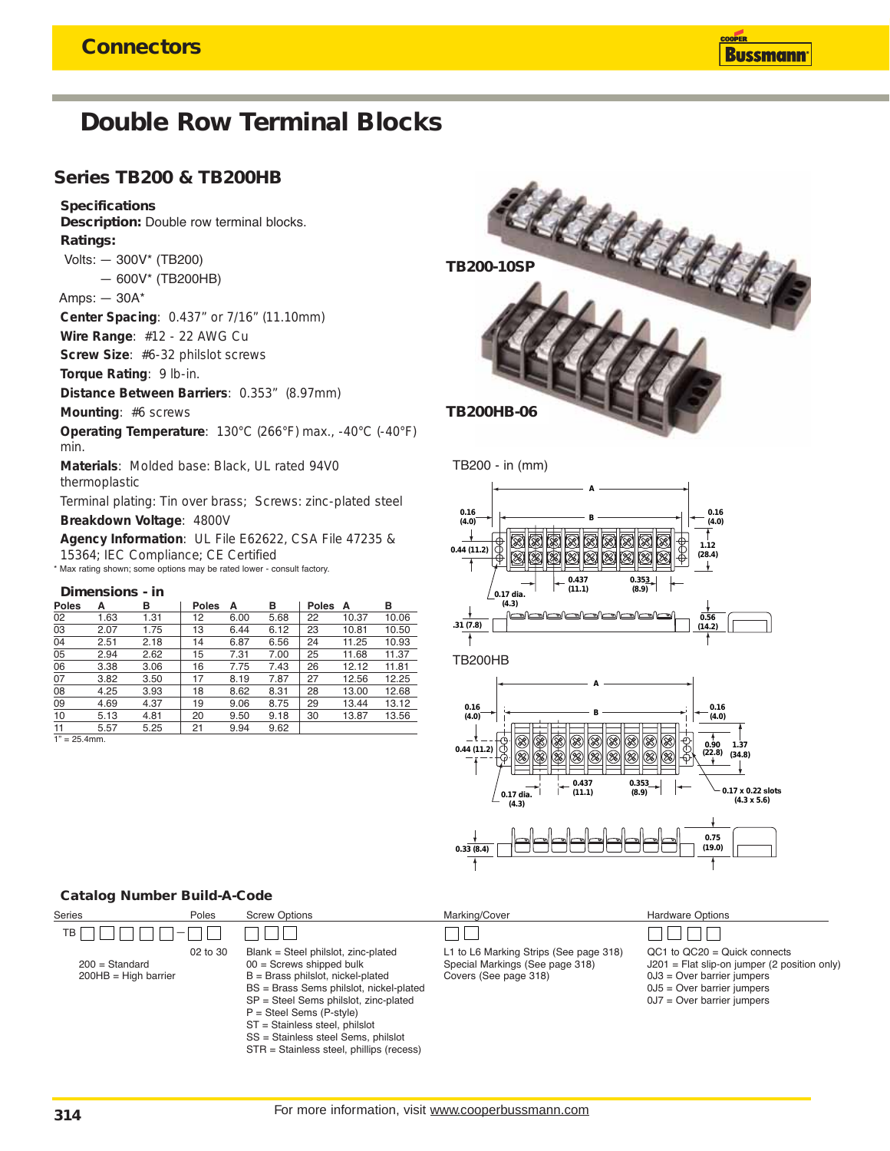## **Double Row Terminal Blocks**

### **Series TB200 & TB200HB**

#### **Specifications**

**Description:** Double row terminal blocks. **Ratings:**

Volts: — 300V\* (TB200)

— 600V\* (TB200HB)

Amps: — 30A\*

**Center Spacing**: 0.437" or 7/16" (11.10mm)

**Wire Range**: #12 - 22 AWG Cu

**Screw Size**: #6-32 philslot screws

**Torque Rating**: 9 lb-in.

**Distance Between Barriers**: 0.353" (8.97mm)

**Mounting**: #6 screws

**Operating Temperature**: 130°C (266°F) max., -40°C (-40°F) min.

**Materials**: Molded base: Black, UL rated 94V0 thermoplastic

Terminal plating: Tin over brass; Screws: zinc-plated steel **Breakdown Voltage**: 4800V

**Agency Information**: UL File E62622, CSA File 47235 & 15364; IEC Compliance; CE Certified \* Max rating shown; some options may be rated lower - consult factory.

#### **Dimensions - in**

| А    | в    | <b>Poles</b> | A    | в    | <b>Poles</b> | А     | в     |
|------|------|--------------|------|------|--------------|-------|-------|
| 1.63 | 1.31 | 12           | 6.00 | 5.68 | 22           | 10.37 | 10.06 |
| 2.07 | 1.75 | 13           | 6.44 | 6.12 | 23           | 10.81 | 10.50 |
| 2.51 | 2.18 | 14           | 6.87 | 6.56 | 24           | 11.25 | 10.93 |
| 2.94 | 2.62 | 15           | 7.31 | 7.00 | 25           | 11.68 | 11.37 |
| 3.38 | 3.06 | 16           | 7.75 | 7.43 | 26           | 12.12 | 11.81 |
| 3.82 | 3.50 | 17           | 8.19 | 7.87 | 27           | 12.56 | 12.25 |
| 4.25 | 3.93 | 18           | 8.62 | 8.31 | 28           | 13.00 | 12.68 |
| 4.69 | 4.37 | 19           | 9.06 | 8.75 | 29           | 13.44 | 13.12 |
| 5.13 | 4.81 | 20           | 9.50 | 9.18 | 30           | 13.87 | 13.56 |
| 5.57 | 5.25 | 21           | 9.94 | 9.62 |              |       |       |
|      |      |              |      |      |              |       |       |

 $1" = 25.4$ mm



TB200 - in (mm)





#### **Catalog Number Build-A-Code**

| <b>Series</b>                              | Poles    | <b>Screw Options</b>                                                                                                                                                                                                                                                                                                                            | Marking/Cover                                                                                      | <b>Hardware Options</b>                                                                                                                                                      |
|--------------------------------------------|----------|-------------------------------------------------------------------------------------------------------------------------------------------------------------------------------------------------------------------------------------------------------------------------------------------------------------------------------------------------|----------------------------------------------------------------------------------------------------|------------------------------------------------------------------------------------------------------------------------------------------------------------------------------|
| TB                                         |          |                                                                                                                                                                                                                                                                                                                                                 |                                                                                                    |                                                                                                                                                                              |
| $200 =$ Standard<br>$200HB = High barrier$ | 02 to 30 | Blank = Steel philslot, zinc-plated<br>$00 =$ Screws shipped bulk<br>$B =$ Brass philslot, nickel-plated<br>BS = Brass Sems philslot, nickel-plated<br>SP = Steel Sems philslot, zinc-plated<br>$P =$ Steel Sems (P-style)<br>ST = Stainless steel, philslot<br>SS = Stainless steel Sems, philslot<br>STR = Stainless steel, phillips (recess) | L1 to L6 Marking Strips (See page 318)<br>Special Markings (See page 318)<br>Covers (See page 318) | $QC1$ to $QC20 = Quick connects$<br>$J201$ = Flat slip-on jumper (2 position only)<br>$0J3 = Over barrier jumps$<br>$0J5 = Over barrier jumps$<br>$0J7 = Over barrier jumps$ |